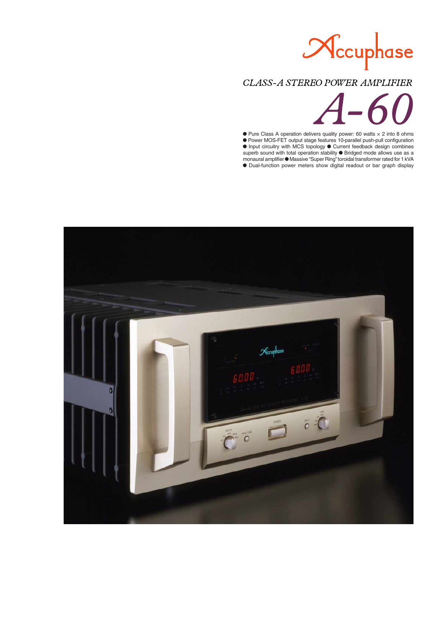

# CLASS-A STEREO POWER AMPLIFIER



 $\bullet$  Pure Class A operation delivers quality power: 60 watts  $\times$  2 into 8 ohms m Power MOS-FET output stage features 10-parallel push-pull configuration  $\bullet$  Input circuitry with MCS topology  $\bullet$  Current feedback design combines superb sound with total operation stability  $\bullet$  Bridged mode allows use as a monaural amplifier  $\bullet$  Massive "Super Ring" toroidal transformer rated for 1 kVA  $\bullet$  Dual-function power meters show digital readout or bar graph display

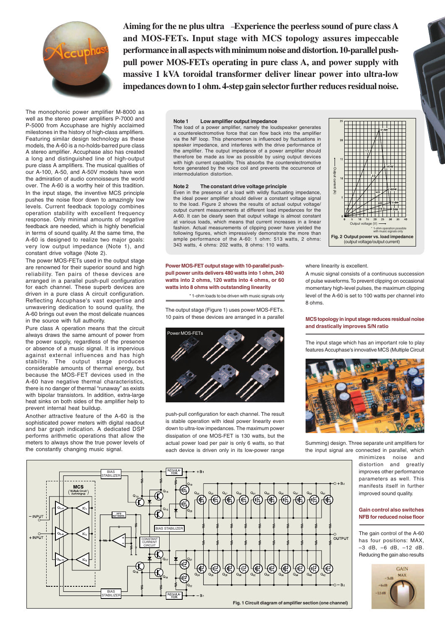

**Aiming for the ne plus ultra Experience the peerless sound of pure class A and MOS-FETs. Input stage with MCS topology assures impeccable performance in all aspects with minimum noise and distortion. 10-parallel pushpull power MOS-FETs operating in pure class A, and power supply with massive 1 kVA toroidal transformer deliver linear power into ultra-low impedances down to 1 ohm. 4-step gain selector further reduces residual noise.**

The monophonic power amplifier M-8000 as well as the stereo power amplifiers P-7000 and P-5000 from Accuphase are highly acclaimed milestones in the history of high-class amplifiers. Featuring similar design technology as these models, the A-60 is a no-holds-barred pure class A stereo amplifier. Accuphase also has created a long and distinguished line of high-output pure class A amplifiers. The musical qualities of our A-100, A-50, and A-50V models have won the admiration of audio connoisseurs the world over. The A-60 is a worthy heir of this tradition. In the input stage, the inventive MCS principle pushes the noise floor down to amazingly low levels. Current feedback topology combines operation stability with excellent frequency response. Only minimal amounts of negative feedback are needed, which is highly beneficial in terms of sound quality. At the same time, the A-60 is designed to realize two major goals: very low output impedance (Note 1), and constant drive voltage (Note 2).

The power MOS-FETs used in the output stage are renowned for their superior sound and high reliability. Ten pairs of these devices are arranged in a parallel push-pull configuration for each channel. These superb devices are driven in a pure class A circuit configuration. Reflecting Accuphase's vast expertise and unwavering dedication to sound quality, the A-60 brings out even the most delicate nuances in the source with full authority.

Pure class A operation means that the circuit always draws the same amount of power from the power supply, regardless of the presence or absence of a music signal. It is impervious against external influences and has high stability. The output stage produces considerable amounts of thermal energy, but because the MOS-FET devices used in the A-60 have negative thermal characteristics, there is no danger of thermal "runaway" as exists with bipolar transistors. In addition, extra-large heat sinks on both sides of the amplifier help to prevent internal heat buildup.

Another attractive feature of the A-60 is the sophisticated power meters with digital readout and bar graph indication. A dedicated DSP performs arithmetic operations that allow the meters to always show the true power levels of the constantly changing music signal.

#### **Note 1 Low amplifier output impedance**

The load of a power amplifier, namely the loudspeaker generates a counterelectromotive force that can flow back into the amplifier via the NF loop. This phenomenon is influenced by fluctuations in speaker impedance, and interferes with the drive performance of the amplifier. The output impedance of a power amplifier should therefore be made as low as possible by using output devices with high current capability. This absorbs the counterelectromotive force generated by the voice coil and prevents the occurrence of intermodulation distortion.

#### **Note 2 The constant drive voltage principle**

Even in the presence of a load with wildly fluctuating impedance, the ideal power amplifier should deliver a constant voltage signal to the load. Figure 2 shows the results of actual output voltage/ output current measurements at different load impedances for the A-60. It can be clearly seen that output voltage is almost constant at various loads, which means that current increases in a linear fashion. Actual measurements of clipping power have yielded the following figures, which impressively demonstrate the more than ample performance of the A-60: 1 ohm: 513 watts, 2 ohms: 343 watts, 4 ohms: 202 watts, 8 ohms: 110 watts.

**Power MOS-FET output stage with 10-parallel pushpull power units delivers 480 watts into 1 ohm, 240 watts into 2 ohms, 120 watts into 4 ohms, or 60 watts into 8 ohms with outstanding linearity**

\* 1-ohm loads to be driven with music signals only

The output stage (Figure 1) uses power MOS-FETs. 10 pairs of these devices are arranged in a parallel



push-pull configuration for each channel. The result is stable operation with ideal power linearity even down to ultra-low impedances. The maximum power dissipation of one MOS-FET is 130 watts, but the actual power load per pair is only 6 watts, so that each device is driven only in its low-power range

where linearity is excellent.

Output current (A)

nauna indino  $\mathfrak{D}$ 

A music signal consists of a continuous succession of pulse waveforms. To prevent clipping on occasional momentary high-level pulses, the maximum clipping level of the A-60 is set to 100 watts per channel into 8 ohms.

Output voltage (V)

**Fig. 2 Output power vs. load impedance**<br>(output voltage/output current)

\* 1-ohm operation possible with music signals only

#### **MCS topology in input stage reduces residual noise and drastically improves S/N ratio**

The input stage which has an important role to play features Accuphase's innovative MCS (Multiple Circuit



Summing) design. Three separate unit amplifiers for the input signal are connected in parallel, which

> minimizes noise and distortion and greatly improves other performance parameters as well. This manifests itself in further improved sound quality.

### **Gain control also switches NFB for reduced noise floor**

The gain control of the A-60 has four positions: MAX, –3 dB, –6 dB, –12 dB. Reducing the gain also results



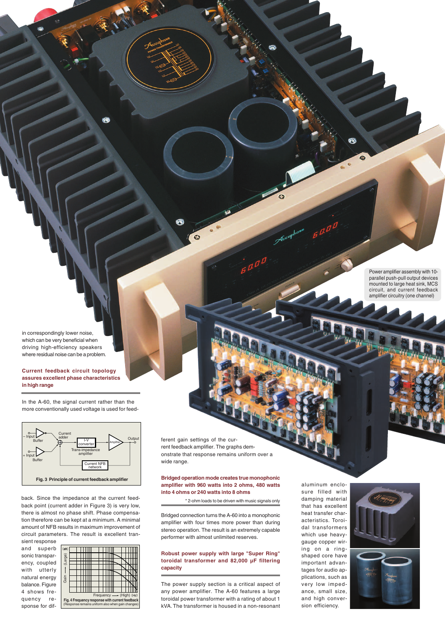Power amplifier assembly with 10 parallel push-pull output devices mounted to large heat sink, MCS circuit, and current feedback amplifier circuitry (one channel)

in correspondingly lower noise, which can be very beneficial when driving high-efficiency speakers where residual noise can be a problem.

### **Current feedback circuit topology assures excellent phase characteristics in high range**

In the A-60, the signal current rather than the more conventionally used voltage is used for feed-



back. Since the impedance at the current feedback point (current adder in Figure 3) is very low, there is almost no phase shift. Phase compensation therefore can be kept at a minimum. A minimal amount of NFB results in maximum improvement of circuit parameters. The result is excellent transient response

and superb sonic transparency, coupled with utterly natural energy balance. Figure 4 shows frequency response for dif-

| (dB)                                                                                                 |  |  |  |  |  |  |  |  |  |  |  |  |
|------------------------------------------------------------------------------------------------------|--|--|--|--|--|--|--|--|--|--|--|--|
| (Large)<br>Gain                                                                                      |  |  |  |  |  |  |  |  |  |  |  |  |
|                                                                                                      |  |  |  |  |  |  |  |  |  |  |  |  |
|                                                                                                      |  |  |  |  |  |  |  |  |  |  |  |  |
|                                                                                                      |  |  |  |  |  |  |  |  |  |  |  |  |
|                                                                                                      |  |  |  |  |  |  |  |  |  |  |  |  |
|                                                                                                      |  |  |  |  |  |  |  |  |  |  |  |  |
|                                                                                                      |  |  |  |  |  |  |  |  |  |  |  |  |
| Frequency - (High) (Hz)                                                                              |  |  |  |  |  |  |  |  |  |  |  |  |
| Fig. 4 Frequency response with current feedback<br>(Response remains uniform also when gain changes) |  |  |  |  |  |  |  |  |  |  |  |  |

ferent gain settings of the current feedback amplifier. The graphs demonstrate that response remains uniform over a wide range.

ค

 $\bullet$ 

### **Bridged operation mode creates true monophonic amplifier with 960 watts into 2 ohms, 480 watts into 4 ohms or 240 watts into 8 ohms**

\* 2-ohm loads to be driven with music signals only

Bridged connection turns the A-60 into a monophonic amplifier with four times more power than during stereo operation. The result is an extremely capable performer with almost unlimited reserves.

## **Robust power supply with large "Super Ring" toroidal transformer and 82,000 µF filtering capacity**

The power supply section is a critical aspect of any power amplifier. The A-60 features a large toroidal power transformer with a rating of about 1 kVA. The transformer is housed in a non-resonant

aluminum enclosure filled with damping material that has excellent heat transfer characteristics. Toroidal transformers which use heavygauge copper wiring on a ringshaped core have important advantages for audio applications, such as very low impedance, small size, and high conversion efficiency.